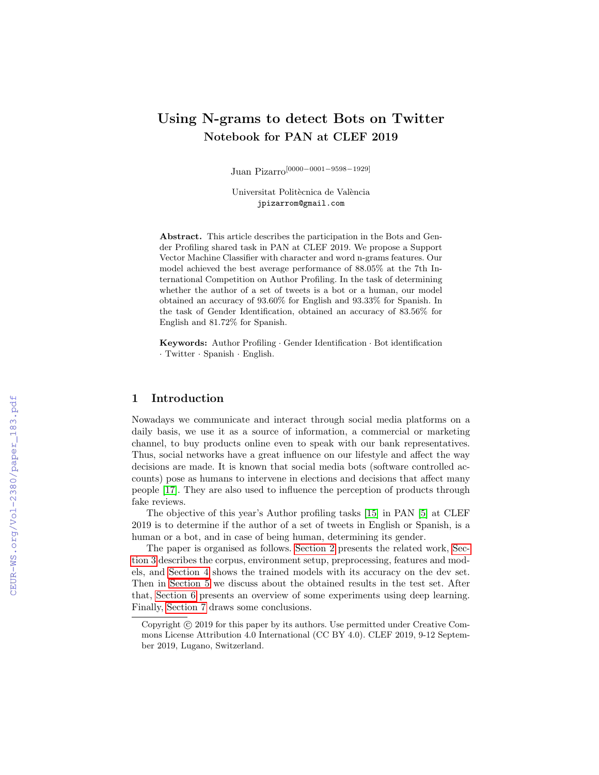# Using N-grams to detect Bots on Twitter Notebook for PAN at CLEF 2019

Juan Pizarro[0000−0001−9598−1929]

Universitat Politècnica de València jpizarrom@gmail.com

Abstract. This article describes the participation in the Bots and Gender Profiling shared task in PAN at CLEF 2019. We propose a Support Vector Machine Classifier with character and word n-grams features. Our model achieved the best average performance of 88.05% at the 7th International Competition on Author Profiling. In the task of determining whether the author of a set of tweets is a bot or a human, our model obtained an accuracy of 93.60% for English and 93.33% for Spanish. In the task of Gender Identification, obtained an accuracy of 83.56% for English and 81.72% for Spanish.

Keywords: Author Profiling · Gender Identification · Bot identification · Twitter · Spanish · English.

# 1 Introduction

Nowadays we communicate and interact through social media platforms on a daily basis, we use it as a source of information, a commercial or marketing channel, to buy products online even to speak with our bank representatives. Thus, social networks have a great influence on our lifestyle and affect the way decisions are made. It is known that social media bots (software controlled accounts) pose as humans to intervene in elections and decisions that affect many people [\[17\]](#page--1-0). They are also used to influence the perception of products through fake reviews.

The objective of this year's Author profiling tasks [\[15\]](#page--1-1) in PAN [\[5\]](#page--1-2) at CLEF 2019 is to determine if the author of a set of tweets in English or Spanish, is a human or a bot, and in case of being human, determining its gender.

The paper is organised as follows. [Section 2](#page--1-3) presents the related work, [Sec](#page--1-4)[tion 3](#page--1-4) describes the corpus, environment setup, preprocessing, features and models, and [Section 4](#page--1-5) shows the trained models with its accuracy on the dev set. Then in [Section 5](#page--1-6) we discuss about the obtained results in the test set. After that, [Section 6](#page--1-7) presents an overview of some experiments using deep learning. Finally, [Section 7](#page--1-3) draws some conclusions.

Copyright  $\odot$  2019 for this paper by its authors. Use permitted under Creative Commons License Attribution 4.0 International (CC BY 4.0). CLEF 2019, 9-12 September 2019, Lugano, Switzerland.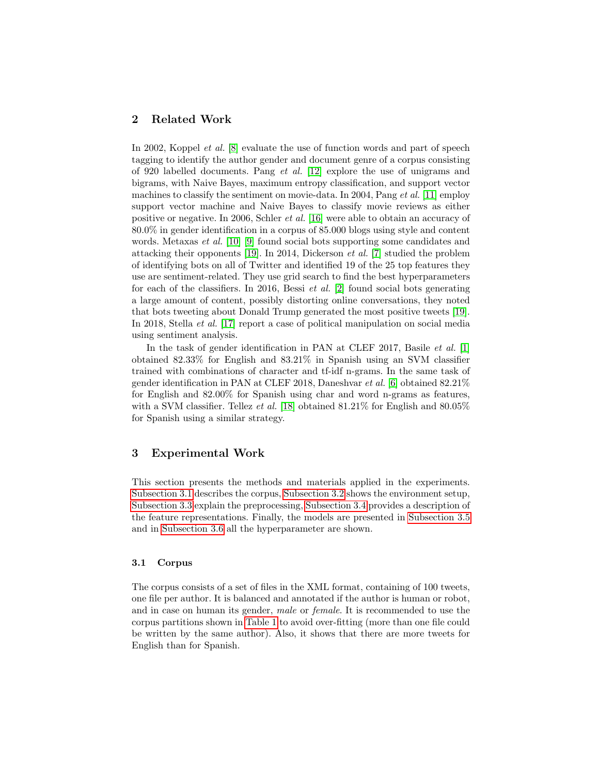## 2 Related Work

In 2002, Koppel *et al.* [\[8\]](#page-8-0) evaluate the use of function words and part of speech tagging to identify the author gender and document genre of a corpus consisting of 920 labelled documents. Pang et al. [\[12\]](#page-9-0) explore the use of unigrams and bigrams, with Naive Bayes, maximum entropy classification, and support vector machines to classify the sentiment on movie-data. In 2004, Pang et al. [\[11\]](#page-8-1) employ support vector machine and Naive Bayes to classify movie reviews as either positive or negative. In 2006, Schler et al. [\[16\]](#page-9-1) were able to obtain an accuracy of 80.0% in gender identification in a corpus of 85.000 blogs using style and content words. Metaxas *et al.* [\[10\]](#page-8-2) [\[9\]](#page-8-3) found social bots supporting some candidates and attacking their opponents [\[19\]](#page-9-2). In 2014, Dickerson et al. [\[7\]](#page-8-4) studied the problem of identifying bots on all of Twitter and identified 19 of the 25 top features they use are sentiment-related. They use grid search to find the best hyperparameters for each of the classifiers. In 2016, Bessi *et al.* [\[2\]](#page-8-5) found social bots generating a large amount of content, possibly distorting online conversations, they noted that bots tweeting about Donald Trump generated the most positive tweets [\[19\]](#page-9-2). In 2018, Stella et al. [\[17\]](#page-9-3) report a case of political manipulation on social media using sentiment analysis.

In the task of gender identification in PAN at CLEF 2017, Basile *et al.* [\[1\]](#page-8-6) obtained 82.33% for English and 83.21% in Spanish using an SVM classifier trained with combinations of character and tf-idf n-grams. In the same task of gender identification in PAN at CLEF 2018, Daneshvar et al. [\[6\]](#page-8-7) obtained 82.21% for English and 82.00% for Spanish using char and word n-grams as features, with a SVM classifier. Tellez et al. [\[18\]](#page-9-4) obtained  $81.21\%$  for English and  $80.05\%$ for Spanish using a similar strategy.

## 3 Experimental Work

This section presents the methods and materials applied in the experiments. [Subsection 3.1](#page-1-0) describes the corpus, [Subsection 3.2](#page-2-0) shows the environment setup, [Subsection 3.3](#page-2-1) explain the preprocessing, [Subsection 3.4](#page-2-2) provides a description of the feature representations. Finally, the models are presented in [Subsection 3.5](#page-2-3) and in [Subsection 3.6](#page-3-0) all the hyperparameter are shown.

## <span id="page-1-0"></span>3.1 Corpus

The corpus consists of a set of files in the XML format, containing of 100 tweets, one file per author. It is balanced and annotated if the author is human or robot, and in case on human its gender, male or female. It is recommended to use the corpus partitions shown in [Table 1](#page-2-4) to avoid over-fitting (more than one file could be written by the same author). Also, it shows that there are more tweets for English than for Spanish.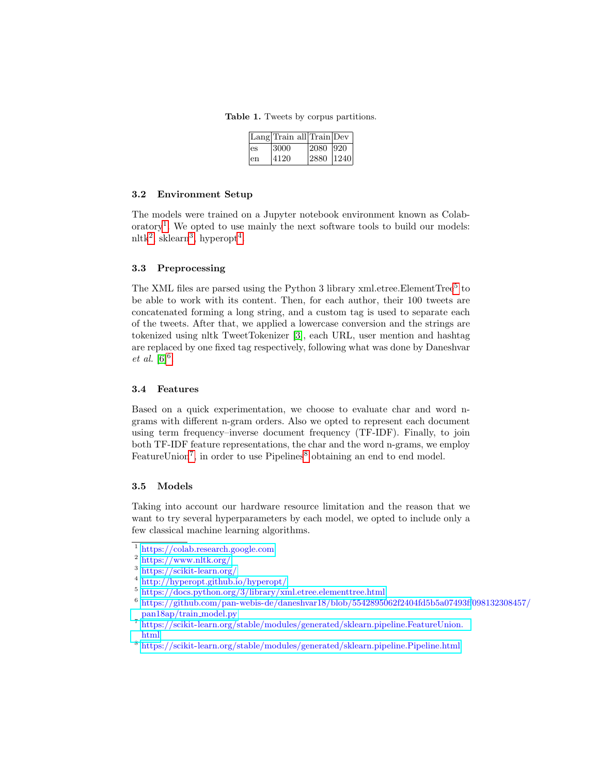Table 1. Tweets by corpus partitions.

<span id="page-2-4"></span>

|     | $\lfloor$ Lang $\lfloor$ Train all $\lfloor$ Train $\lfloor$ Dev |           |  |
|-----|------------------------------------------------------------------|-----------|--|
| les | 13000                                                            | 2080  920 |  |
| len | 14120                                                            | 2880 1240 |  |

#### <span id="page-2-0"></span>3.2 Environment Setup

The models were trained on a Jupyter notebook environment known as Colab-oratory<sup>[1](#page-2-5)</sup>. We opted to use mainly the next software tools to build our models:  $n$ ltk<sup>[2](#page-2-6)</sup>, sklearn<sup>[3](#page-2-7)</sup>, hyperopt<sup>[4](#page-2-8)</sup>.

## <span id="page-2-1"></span>3.3 Preprocessing

The XML files are parsed using the Python 3 library xml.etree. Element Tree<sup>[5](#page-2-9)</sup> to be able to work with its content. Then, for each author, their 100 tweets are concatenated forming a long string, and a custom tag is used to separate each of the tweets. After that, we applied a lowercase conversion and the strings are tokenized using nltk TweetTokenizer [\[3\]](#page-8-8), each URL, user mention and hashtag are replaced by one fixed tag respectively, following what was done by Daneshvar *et al.*  $[6]^{6}$  $[6]^{6}$  $[6]^{6}$  $[6]^{6}$ .

### <span id="page-2-2"></span>3.4 Features

Based on a quick experimentation, we choose to evaluate char and word ngrams with different n-gram orders. Also we opted to represent each document using term frequency–inverse document frequency (TF-IDF). Finally, to join both TF-IDF feature representations, the char and the word n-grams, we employ FeatureUnion<sup>[7](#page-2-11)</sup>, in order to use Pipelines<sup>[8](#page-2-12)</sup> obtaining an end to end model.

#### <span id="page-2-3"></span>3.5 Models

Taking into account our hardware resource limitation and the reason that we want to try several hyperparameters by each model, we opted to include only a few classical machine learning algorithms.

<span id="page-2-5"></span><sup>1</sup> <https://colab.research.google.com>

<span id="page-2-6"></span><sup>2</sup> <https://www.nltk.org/>

<span id="page-2-7"></span><sup>3</sup> <https://scikit-learn.org/>

<span id="page-2-8"></span><sup>4</sup> <http://hyperopt.github.io/hyperopt/>

<span id="page-2-9"></span> $5 \text{ https://docs.python.org/3/library/xml.etre. element tree.html}$ 

<span id="page-2-10"></span><sup>6</sup> [https://github.com/pan-webis-de/daneshvar18/blob/5542895062f2404fd5b5a07493ff](https://github.com/pan-webis-de/daneshvar18/blob/5542895062f2404fd5b5a07493ff098132308457/pan18ap/train_model.py)098132308457/ [pan18ap/train](https://github.com/pan-webis-de/daneshvar18/blob/5542895062f2404fd5b5a07493ff098132308457/pan18ap/train_model.py) model.py

<span id="page-2-11"></span><sup>7</sup> [https://scikit-learn.org/stable/modules/generated/sklearn.pipeline.FeatureUnion.](https://scikit-learn.org/stable/modules/generated/sklearn.pipeline.FeatureUnion.html) [html](https://scikit-learn.org/stable/modules/generated/sklearn.pipeline.FeatureUnion.html)

<span id="page-2-12"></span><sup>8</sup> <https://scikit-learn.org/stable/modules/generated/sklearn.pipeline.Pipeline.html>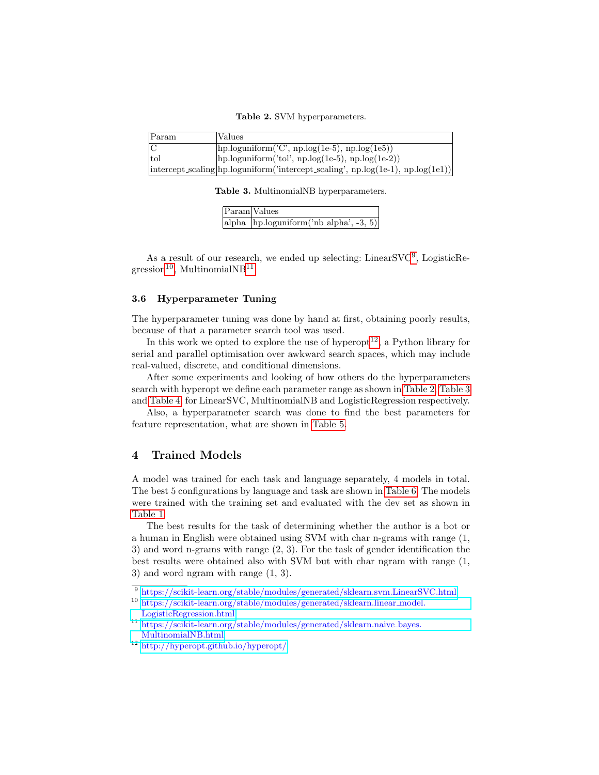<span id="page-3-5"></span>Table 2. SVM hyperparameters.

| Param | Values                                                                                                                         |
|-------|--------------------------------------------------------------------------------------------------------------------------------|
|       | $\langle \text{hp.loguniform}(C', \text{np.log}(1e-5), \text{np.log}(1e5)) \rangle$                                            |
| tol   | $\vert$ hp.loguniform('tol', np.log(1e-5), np.log(1e-2))                                                                       |
|       | $\left  \text{intercept} \text{.scaling} \right  \text{hp} \text{.loguniform}$ (intercept scaling', np.log(1e-1), np.log(1e1)) |

Table 3. MultinomialNB hyperparameters.

<span id="page-3-6"></span>

| Param Values                                             |
|----------------------------------------------------------|
| alpha $\langle$ hp.loguniform $(\hat{m})$ -alpha, -3, 5) |

As a result of our research, we ended up selecting: LinearSVC<sup>[9](#page-3-1)</sup>, LogisticRe- $gression<sup>10</sup>$  $gression<sup>10</sup>$  $gression<sup>10</sup>$ , MultinomialNB<sup>[11](#page-3-3)</sup>.

#### <span id="page-3-0"></span>3.6 Hyperparameter Tuning

The hyperparameter tuning was done by hand at first, obtaining poorly results, because of that a parameter search tool was used.

In this work we opted to explore the use of hyperopt<sup>[12](#page-3-4)</sup>, a Python library for serial and parallel optimisation over awkward search spaces, which may include real-valued, discrete, and conditional dimensions.

After some experiments and looking of how others do the hyperparameters search with hyperopt we define each parameter range as shown in [Table 2,](#page-3-5) [Table 3](#page-3-6) and [Table 4,](#page-4-0) for LinearSVC, MultinomialNB and LogisticRegression respectively.

Also, a hyperparameter search was done to find the best parameters for feature representation, what are shown in [Table 5.](#page-4-1)

## 4 Trained Models

A model was trained for each task and language separately, 4 models in total. The best 5 configurations by language and task are shown in [Table 6.](#page-5-0) The models were trained with the training set and evaluated with the dev set as shown in [Table 1.](#page-2-4)

The best results for the task of determining whether the author is a bot or a human in English were obtained using SVM with char n-grams with range (1, 3) and word n-grams with range (2, 3). For the task of gender identification the best results were obtained also with SVM but with char ngram with range (1, 3) and word ngram with range (1, 3).

<span id="page-3-1"></span><sup>9</sup> <https://scikit-learn.org/stable/modules/generated/sklearn.svm.LinearSVC.html>

<span id="page-3-2"></span><sup>10</sup> [https://scikit-learn.org/stable/modules/generated/sklearn.linear](https://scikit-learn.org/stable/modules/generated/sklearn.linear_model.LogisticRegression.html) model. [LogisticRegression.html](https://scikit-learn.org/stable/modules/generated/sklearn.linear_model.LogisticRegression.html)

<span id="page-3-3"></span><sup>11</sup> [https://scikit-learn.org/stable/modules/generated/sklearn.naive](https://scikit-learn.org/stable/modules/generated/sklearn.naive_bayes.MultinomialNB.html) bayes. [MultinomialNB.html](https://scikit-learn.org/stable/modules/generated/sklearn.naive_bayes.MultinomialNB.html)

<span id="page-3-4"></span><sup>12</sup> <http://hyperopt.github.io/hyperopt/>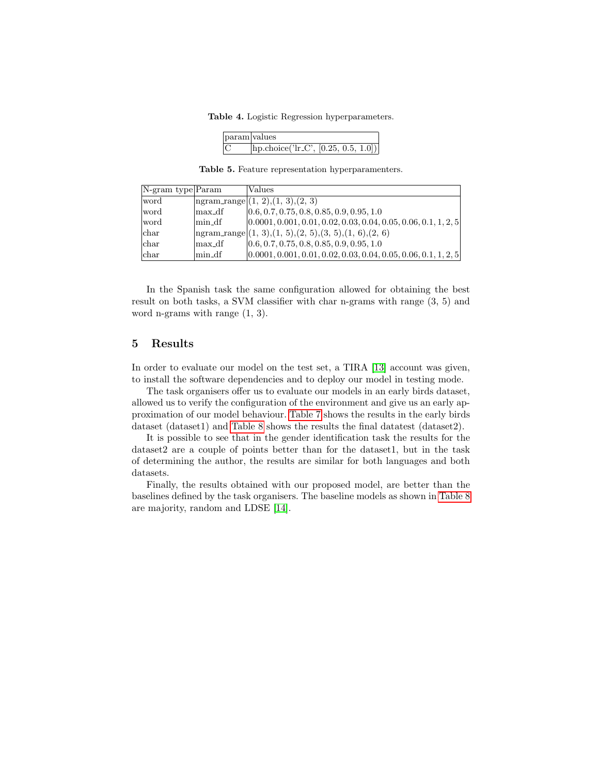Table 4. Logistic Regression hyperparameters.

<span id="page-4-1"></span><span id="page-4-0"></span>

| param   values |                                                             |
|----------------|-------------------------------------------------------------|
|                | $\left  \text{hp.choice('lr.C', [0.25, 0.5, 1.0])} \right $ |

Table 5. Feature representation hyperparamenters.

| $ N\text{-gram type} $ Param |                                     | Values                                                               |
|------------------------------|-------------------------------------|----------------------------------------------------------------------|
| word                         |                                     | $ $ ngram_range $ (1, 2), (1, 3), (2, 3)$                            |
| word                         | $\lfloor \max_{\text{def}} \rfloor$ | $[0.6, 0.7, 0.75, 0.8, 0.85, 0.9, 0.95, 1.0]$                        |
| word                         | min_df                              | $[0.0001, 0.001, 0.01, 0.02, 0.03, 0.04, 0.05, 0.06, 0.1, 1, 2, 5]$  |
| <sub>char</sub>              |                                     | $\text{logram\_range}(1, 3), (1, 5), (2, 5), (3, 5), (1, 6), (2, 6)$ |
| $ _{\text{char}}$            | max_df                              | $[0.6, 0.7, 0.75, 0.8, 0.85, 0.9, 0.95, 1.0]$                        |
| $ _{\text{char}}$            | $lmin_d$                            | $[0.0001, 0.001, 0.01, 0.02, 0.03, 0.04, 0.05, 0.06, 0.1, 1, 2, 5]$  |

In the Spanish task the same configuration allowed for obtaining the best result on both tasks, a SVM classifier with char n-grams with range (3, 5) and word n-grams with range (1, 3).

## 5 Results

In order to evaluate our model on the test set, a TIRA [\[13\]](#page-9-5) account was given, to install the software dependencies and to deploy our model in testing mode.

The task organisers offer us to evaluate our models in an early birds dataset, allowed us to verify the configuration of the environment and give us an early approximation of our model behaviour. [Table 7](#page-5-1) shows the results in the early birds dataset (dataset1) and [Table 8](#page-5-2) shows the results the final datatest (dataset2).

It is possible to see that in the gender identification task the results for the dataset2 are a couple of points better than for the dataset1, but in the task of determining the author, the results are similar for both languages and both datasets.

Finally, the results obtained with our proposed model, are better than the baselines defined by the task organisers. The baseline models as shown in [Table 8](#page-5-2) are majority, random and LDSE [\[14\]](#page-9-6).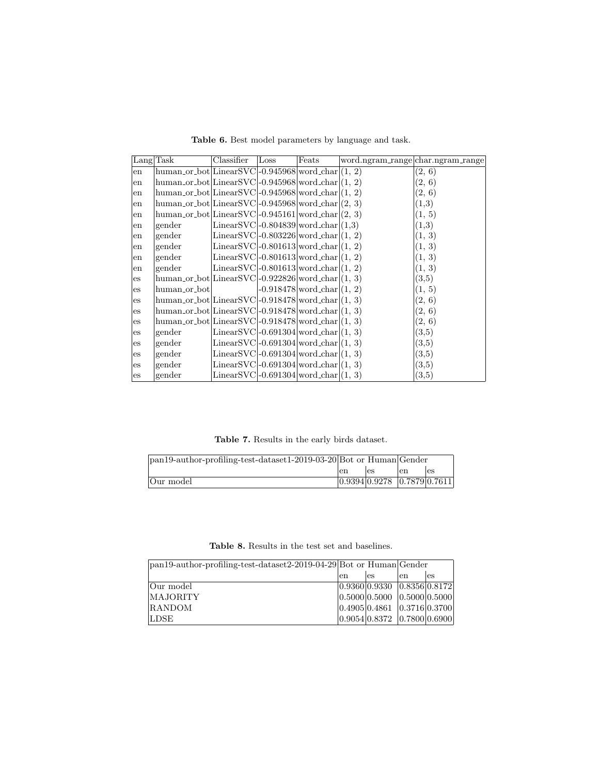|    | $\text{Lang}$ Task                                                     | Classifier                                                   | Loss | Feats                          | word.ngram_range char.ngram_range |        |
|----|------------------------------------------------------------------------|--------------------------------------------------------------|------|--------------------------------|-----------------------------------|--------|
| en | human_or_bot   Linear SVC $\vert$ -0.945968   word_char $\vert$ (1, 2) |                                                              |      |                                |                                   | (2, 6) |
| en | $human_0r_bot LinearSVC -0.945968 word_char (1, 2)$                    |                                                              |      |                                |                                   | (2, 6) |
| en | $human-or\_bot LinearSVC -0.945968 word\_char (1, 2)$                  |                                                              |      |                                |                                   | (2, 6) |
| en | human_or_bot LinearSVC -0.945968 word_char  $(2, 3)$                   |                                                              |      |                                |                                   | (1,3)  |
| en | human_or_bot LinearSVC -0.945161 word_char  $(2, 3)$                   |                                                              |      |                                |                                   | (1, 5) |
| en | gender                                                                 | LinearSVC $\vert$ -0.804839 $\vert$ word_char $\vert$ (1,3)  |      |                                |                                   | (1,3)  |
| en | gender                                                                 | LinearSVC $\vert$ -0.803226 $\vert$ word_char $\vert$ (1, 2) |      |                                |                                   | (1, 3) |
| en | gender                                                                 | LinearSVC $\vert$ -0.801613 $\vert$ word_char $\vert$ (1, 2) |      |                                |                                   | (1, 3) |
| en | gender                                                                 | LinearSVC $\vert$ -0.801613 $\vert$ word_char $\vert$ (1, 2) |      |                                |                                   | (1, 3) |
| en | gender                                                                 | Linear SVC $-0.801613$ word_char $(1, 2)$                    |      |                                |                                   | (1, 3) |
| es | human_or_bot   Linear SVC $\vert$ -0.922826   word_char $\vert$ (1, 3) |                                                              |      |                                |                                   | (3,5)  |
| es | human <sub>-or-bot</sub>                                               |                                                              |      | $-0.918478$ word_char $(1, 2)$ |                                   | (1, 5) |
| es | human_or_bot LinearSVC -0.918478 word_char  $(1, 3)$                   |                                                              |      |                                |                                   | (2, 6) |
| es | human_or_bot LinearSVC -0.918478 word_char  $(1, 3)$                   |                                                              |      |                                |                                   | (2, 6) |
| es | $human_0r_bot LinearSVC -0.918478 word_char (1, 3)$                    |                                                              |      |                                |                                   | (2, 6) |
| es | gender                                                                 | LinearSVC $\vert$ -0.691304 $\vert$ word_char $\vert$ (1, 3) |      |                                |                                   | (3,5)  |
| es | gender                                                                 | LinearSVC $\vert$ -0.691304 $\vert$ word_char $\vert$ (1, 3) |      |                                |                                   | (3,5)  |
| es | gender                                                                 | LinearSVC $\vert$ -0.691304 $\vert$ word_char $\vert$ (1, 3) |      |                                |                                   | (3,5)  |
| es | gender                                                                 | LinearSVC $\mid$ -0.691304 $\mid$ word_char $\mid$ (1, 3)    |      |                                |                                   | (3,5)  |
| es | gender                                                                 | LinearSVC $\vert$ -0.691304 $\vert$ word_char $\vert$ (1, 3) |      |                                |                                   | (3, 5) |

<span id="page-5-0"></span>Table 6. Best model parameters by language and task.

<span id="page-5-1"></span>Table 7. Results in the early birds dataset.

| pan19-author-profiling-test-dataset1-2019-03-20 Bot or Human Gender |    |                             |     |     |
|---------------------------------------------------------------------|----|-----------------------------|-----|-----|
|                                                                     | en | les                         | len | les |
| Our model                                                           |    | 0.9394 0.9278 0.7879 0.7611 |     |     |

<span id="page-5-2"></span>Table 8. Results in the test set and baselines.

| $\text{pan19-author-profiling-test-datasets2-2019-04-29}$ Bot or Human Gender |    |                             |     |    |
|-------------------------------------------------------------------------------|----|-----------------------------|-----|----|
|                                                                               | en | es                          | len | es |
| Our model                                                                     |    | 0.9360 0.9330 0.8356 0.8172 |     |    |
| <b>MAJORITY</b>                                                               |    | 0.5000 0.5000 0.5000 0.5000 |     |    |
| <b>RANDOM</b>                                                                 |    | 0.4905 0.4861 0.3716 0.3700 |     |    |
| <b>LDSE</b>                                                                   |    | 0.9054 0.8372 0.7800 0.6900 |     |    |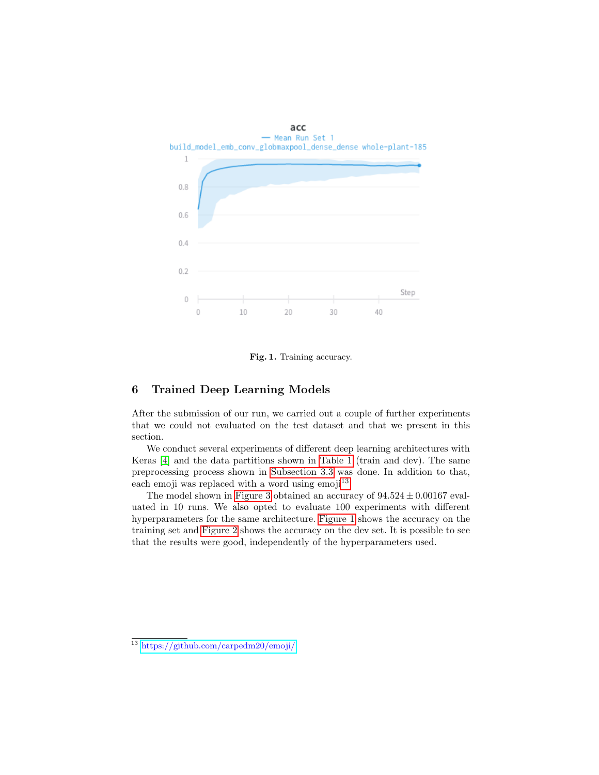

<span id="page-6-1"></span>Fig. 1. Training accuracy.

## <span id="page-6-2"></span>6 Trained Deep Learning Models

After the submission of our run, we carried out a couple of further experiments that we could not evaluated on the test dataset and that we present in this section.

We conduct several experiments of different deep learning architectures with Keras [\[4\]](#page-8-9) and the data partitions shown in [Table 1](#page-2-4) (train and dev). The same preprocessing process shown in [Subsection 3.3](#page-2-1) was done. In addition to that, each emoji was replaced with a word using emoji $^{13}$  $^{13}$  $^{13}$ .

The model shown in [Figure 3](#page-7-0) obtained an accuracy of  $94.524 \pm 0.00167$  evaluated in 10 runs. We also opted to evaluate 100 experiments with different hyperparameters for the same architecture. [Figure 1](#page-6-1) shows the accuracy on the training set and [Figure 2](#page-7-1) shows the accuracy on the dev set. It is possible to see that the results were good, independently of the hyperparameters used.

<span id="page-6-0"></span><sup>13</sup> <https://github.com/carpedm20/emoji/>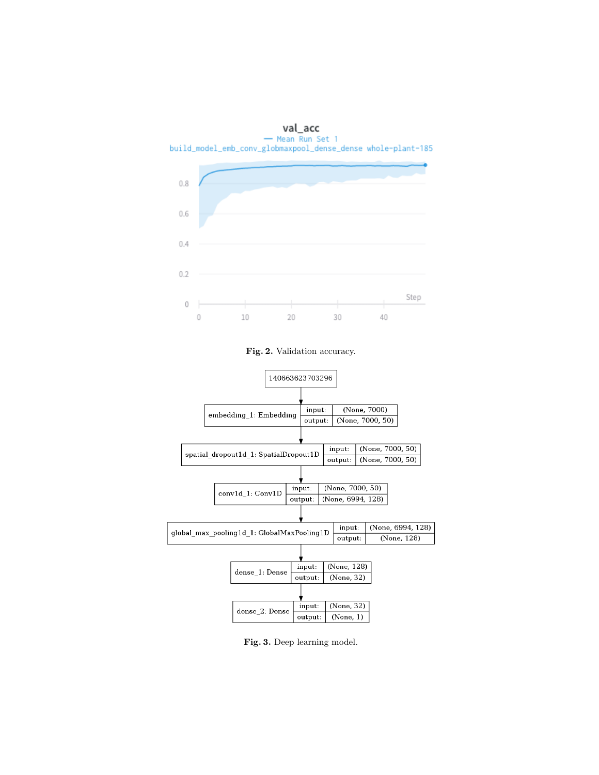

<span id="page-7-1"></span>Fig. 2. Validation accuracy.



<span id="page-7-0"></span>Fig. 3. Deep learning model.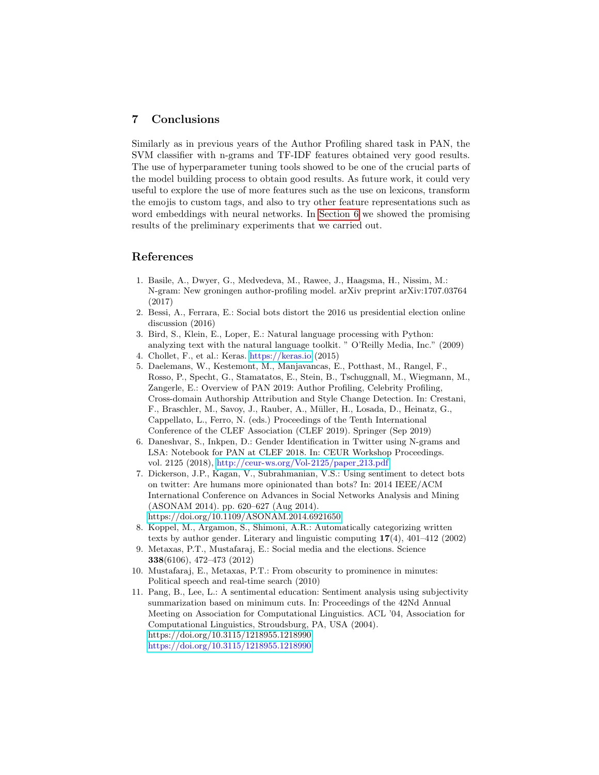# 7 Conclusions

Similarly as in previous years of the Author Profiling shared task in PAN, the SVM classifier with n-grams and TF-IDF features obtained very good results. The use of hyperparameter tuning tools showed to be one of the crucial parts of the model building process to obtain good results. As future work, it could very useful to explore the use of more features such as the use on lexicons, transform the emojis to custom tags, and also to try other feature representations such as word embeddings with neural networks. In [Section 6](#page-6-2) we showed the promising results of the preliminary experiments that we carried out.

## References

- <span id="page-8-6"></span>1. Basile, A., Dwyer, G., Medvedeva, M., Rawee, J., Haagsma, H., Nissim, M.: N-gram: New groningen author-profiling model. arXiv preprint arXiv:1707.03764 (2017)
- <span id="page-8-5"></span>2. Bessi, A., Ferrara, E.: Social bots distort the 2016 us presidential election online discussion (2016)
- <span id="page-8-8"></span>3. Bird, S., Klein, E., Loper, E.: Natural language processing with Python: analyzing text with the natural language toolkit. " O'Reilly Media, Inc." (2009)
- <span id="page-8-9"></span>4. Chollet, F., et al.: Keras. <https://keras.io> (2015)
- 5. Daelemans, W., Kestemont, M., Manjavancas, E., Potthast, M., Rangel, F., Rosso, P., Specht, G., Stamatatos, E., Stein, B., Tschuggnall, M., Wiegmann, M., Zangerle, E.: Overview of PAN 2019: Author Profiling, Celebrity Profiling, Cross-domain Authorship Attribution and Style Change Detection. In: Crestani, F., Braschler, M., Savoy, J., Rauber, A., Müller, H., Losada, D., Heinatz, G., Cappellato, L., Ferro, N. (eds.) Proceedings of the Tenth International Conference of the CLEF Association (CLEF 2019). Springer (Sep 2019)
- <span id="page-8-7"></span>6. Daneshvar, S., Inkpen, D.: Gender Identification in Twitter using N-grams and LSA: Notebook for PAN at CLEF 2018. In: CEUR Workshop Proceedings. vol. 2125 (2018), [http://ceur-ws.org/Vol-2125/paper](http://ceur-ws.org/Vol-2125/paper_213.pdf) 213.pdf
- <span id="page-8-4"></span>7. Dickerson, J.P., Kagan, V., Subrahmanian, V.S.: Using sentiment to detect bots on twitter: Are humans more opinionated than bots? In: 2014 IEEE/ACM International Conference on Advances in Social Networks Analysis and Mining (ASONAM 2014). pp. 620–627 (Aug 2014). <https://doi.org/10.1109/ASONAM.2014.6921650>
- <span id="page-8-0"></span>8. Koppel, M., Argamon, S., Shimoni, A.R.: Automatically categorizing written texts by author gender. Literary and linguistic computing 17(4), 401–412 (2002)
- <span id="page-8-3"></span>9. Metaxas, P.T., Mustafaraj, E.: Social media and the elections. Science 338(6106), 472–473 (2012)
- <span id="page-8-2"></span>10. Mustafaraj, E., Metaxas, P.T.: From obscurity to prominence in minutes: Political speech and real-time search (2010)
- <span id="page-8-1"></span>11. Pang, B., Lee, L.: A sentimental education: Sentiment analysis using subjectivity summarization based on minimum cuts. In: Proceedings of the 42Nd Annual Meeting on Association for Computational Linguistics. ACL '04, Association for Computational Linguistics, Stroudsburg, PA, USA (2004). [https://doi.org/10.3115/1218955.1218990,](https://doi.org/10.3115/1218955.1218990) <https://doi.org/10.3115/1218955.1218990>